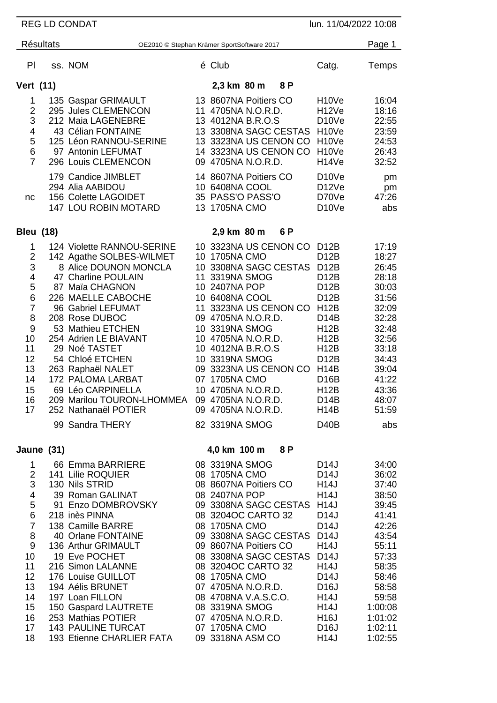| <b>REG LD CONDAT</b><br>lun. 11/04/2022 10:08                                                                             |  |                                                                                                                                                                                                                                                                                                                                                                                                                                      |  |                                                                                                                                                                                                                                                                                                             |  |                                                                                                       |                                                                                                                                                                                                                                                                     |                                                                                                                                                                        |
|---------------------------------------------------------------------------------------------------------------------------|--|--------------------------------------------------------------------------------------------------------------------------------------------------------------------------------------------------------------------------------------------------------------------------------------------------------------------------------------------------------------------------------------------------------------------------------------|--|-------------------------------------------------------------------------------------------------------------------------------------------------------------------------------------------------------------------------------------------------------------------------------------------------------------|--|-------------------------------------------------------------------------------------------------------|---------------------------------------------------------------------------------------------------------------------------------------------------------------------------------------------------------------------------------------------------------------------|------------------------------------------------------------------------------------------------------------------------------------------------------------------------|
| <b>Résultats</b><br>OE2010 © Stephan Krämer SportSoftware 2017                                                            |  |                                                                                                                                                                                                                                                                                                                                                                                                                                      |  |                                                                                                                                                                                                                                                                                                             |  |                                                                                                       |                                                                                                                                                                                                                                                                     | Page 1                                                                                                                                                                 |
| PI                                                                                                                        |  | ss. NOM                                                                                                                                                                                                                                                                                                                                                                                                                              |  | é Club                                                                                                                                                                                                                                                                                                      |  |                                                                                                       | Catg.                                                                                                                                                                                                                                                               | Temps                                                                                                                                                                  |
| <b>Vert (11)</b>                                                                                                          |  |                                                                                                                                                                                                                                                                                                                                                                                                                                      |  | 2,3 km 80 m                                                                                                                                                                                                                                                                                                 |  | 8P                                                                                                    |                                                                                                                                                                                                                                                                     |                                                                                                                                                                        |
| 1<br>$\overline{2}$<br>3<br>4<br>5<br>6<br>$\overline{7}$                                                                 |  | 135 Gaspar GRIMAULT<br>295 Jules CLEMENCON<br>212 Maia LAGENEBRE<br>43 Célian FONTAINE<br>125 Léon RANNOU-SERINE<br>97 Antonin LEFUMAT<br>296 Louis CLEMENCON<br>179 Candice JIMBLET                                                                                                                                                                                                                                                 |  | 13 8607NA Poitiers CO<br>11 4705NA N.O.R.D.<br>13 4012NA B.R.O.S<br>09 4705NA N.O.R.D.<br>14 8607NA Poitiers CO                                                                                                                                                                                             |  | 13 3308NA SAGC CESTAS<br>13 3323NA US CENON CO<br>14 3323NA US CENON CO                               | H <sub>10</sub> Ve<br>H <sub>12</sub> Ve<br>D <sub>10</sub> Ve<br>H <sub>10</sub> Ve<br>H <sub>10</sub> Ve<br>H <sub>10</sub> Ve<br>H14Ve<br>D <sub>10</sub> Ve                                                                                                     | 16:04<br>18:16<br>22:55<br>23:59<br>24:53<br>26:43<br>32:52<br>pm                                                                                                      |
| nc                                                                                                                        |  | 294 Alia AABIDOU<br>156 Colette LAGOIDET<br><b>147 LOU ROBIN MOTARD</b>                                                                                                                                                                                                                                                                                                                                                              |  | 10 6408NA COOL<br>35 PASS'O PASS'O<br>13 1705NA CMO                                                                                                                                                                                                                                                         |  |                                                                                                       | D <sub>12</sub> Ve<br>D70Ve<br>D <sub>10</sub> Ve                                                                                                                                                                                                                   | pm<br>47:26<br>abs                                                                                                                                                     |
| <b>Bleu (18)</b>                                                                                                          |  |                                                                                                                                                                                                                                                                                                                                                                                                                                      |  | 2,9 km 80 m                                                                                                                                                                                                                                                                                                 |  | 6 P                                                                                                   |                                                                                                                                                                                                                                                                     |                                                                                                                                                                        |
| 1<br>2<br>3<br>4<br>5<br>6<br>$\overline{7}$<br>8<br>9<br>10<br>11<br>12<br>13<br>14<br>15<br>16<br>17                    |  | 124 Violette RANNOU-SERINE<br>142 Agathe SOLBES-WILMET<br>8 Alice DOUNON MONCLA<br>47 Charline POULAIN<br>87 Maïa CHAGNON<br>226 MAELLE CABOCHE<br>96 Gabriel LEFUMAT<br>208 Rose DUBOC<br>53 Mathieu ETCHEN<br>254 Adrien LE BIAVANT<br>29 Noé TASTET<br>54 Chloé ETCHEN<br>263 Raphaël NALET<br>172 PALOMA LARBAT<br>69 Léo CARPINELLA<br>209 Marilou TOURON-LHOMMEA 09 4705NA N.O.R.D.<br>252 Nathanaël POTIER<br>99 Sandra THERY |  | 10 1705NA CMO<br>11 3319NA SMOG<br>10 2407NA POP<br>10 6408NA COOL<br>09 4705NA N.O.R.D.<br>10 3319NA SMOG<br>10 4705NA N.O.R.D.<br>10 4012NA B.R.O.S<br>10 3319NA SMOG<br>07 1705NA CMO<br>10 4705NA N.O.R.D.<br>09 4705NA N.O.R.D.<br>82 3319NA SMOG                                                      |  | 10 3323NA US CENON CO<br>10 3308NA SAGC CESTAS<br>11 3323NA US CENON CO<br>09 3323NA US CENON CO H14B | D12B<br>D <sub>12</sub> B<br><b>D12B</b><br>D <sub>12</sub> B<br>D <sub>12</sub> B<br>D <sub>12</sub> B<br><b>H12B</b><br>D14B<br><b>H12B</b><br><b>H12B</b><br><b>H12B</b><br>D <sub>12</sub> B<br>D16B<br><b>H12B</b><br>D14B<br><b>H14B</b><br>D <sub>40</sub> B | 17:19<br>18:27<br>26:45<br>28:18<br>30:03<br>31:56<br>32:09<br>32:28<br>32:48<br>32:56<br>33:18<br>34:43<br>39:04<br>41:22<br>43:36<br>48:07<br>51:59<br>abs           |
| 4,0 km 100 m<br>Jaune (31)                                                                                                |  |                                                                                                                                                                                                                                                                                                                                                                                                                                      |  |                                                                                                                                                                                                                                                                                                             |  | 8P                                                                                                    |                                                                                                                                                                                                                                                                     |                                                                                                                                                                        |
| 1<br>$\overline{2}$<br>3<br>4<br>5<br>6<br>$\overline{7}$<br>8<br>9<br>10<br>11<br>12<br>13<br>14<br>15<br>16<br>17<br>18 |  | 66 Emma BARRIERE<br>141 Lilie ROQUIER<br>130 Nils STRID<br>39 Roman GALINAT<br>91 Enzo DOMBROVSKY<br>218 inès PINNA<br>138 Camille BARRE<br>40 Orlane FONTAINE<br>136 Arthur GRIMAULT<br>19 Eve POCHET<br>216 Simon LALANNE<br>176 Louise GUILLOT<br>194 Aélis BRUNET<br>197 Loan FILLON<br>150 Gaspard LAUTRETE<br>253 Mathias POTIER<br><b>143 PAULINE TURCAT</b><br>193 Etienne CHARLIER FATA                                     |  | 08 3319NA SMOG<br>08 1705NA CMO<br>08 8607NA Poitiers CO<br>08 2407NA POP<br>08 3204OC CARTO 32<br>08 1705NA CMO<br>09 8607NA Poitiers CO<br>08 3204OC CARTO 32<br>08 1705NA CMO<br>07 4705NA N.O.R.D.<br>08 4708NA V.A.S.C.O.<br>08 3319NA SMOG<br>07 4705NA N.O.R.D.<br>07 1705NA CMO<br>09 3318NA ASM CO |  | 09 3308NA SAGC CESTAS H14J<br>09 3308NA SAGC CESTAS D14J<br>08 3308NA SAGC CESTAS                     | D <sub>14</sub> J<br>D <sub>14</sub> J<br>H14J<br>H14J<br>D <sub>14</sub> J<br>D14J<br><b>H14J</b><br>D14J<br><b>H14J</b><br>D <sub>14</sub> J<br>D <sub>16</sub> J<br>H14J<br>H14J<br><b>H16J</b><br>D <sub>16</sub> J<br><b>H14J</b>                              | 34:00<br>36:02<br>37:40<br>38:50<br>39:45<br>41:41<br>42:26<br>43:54<br>55:11<br>57:33<br>58:35<br>58:46<br>58:58<br>59:58<br>1:00:08<br>1:01:02<br>1:02:11<br>1:02:55 |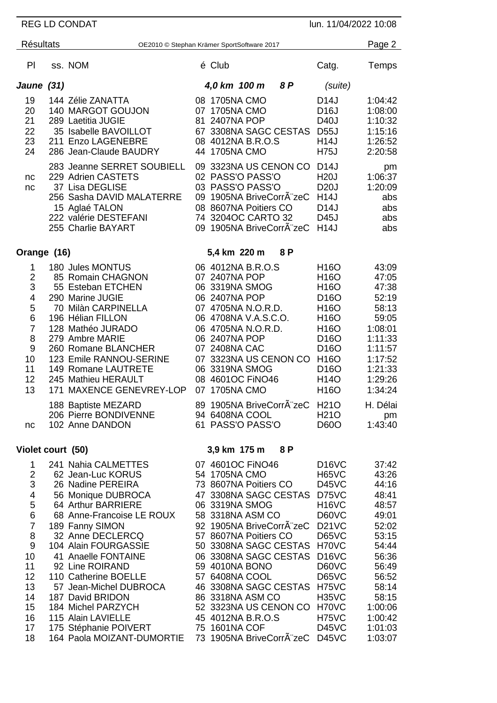| REG LD CONDAT<br>lun. 11/04/2022 10:08                                                                                                           |  |                                                                                                                                                                                                                                                                                                                                                                                                                          |  |                                                                                                                                                                                                                                                                                                                                                                                                              |        |                                                                                                                                                                                                                                                                                  |                                                                                                                                                                        |
|--------------------------------------------------------------------------------------------------------------------------------------------------|--|--------------------------------------------------------------------------------------------------------------------------------------------------------------------------------------------------------------------------------------------------------------------------------------------------------------------------------------------------------------------------------------------------------------------------|--|--------------------------------------------------------------------------------------------------------------------------------------------------------------------------------------------------------------------------------------------------------------------------------------------------------------------------------------------------------------------------------------------------------------|--------|----------------------------------------------------------------------------------------------------------------------------------------------------------------------------------------------------------------------------------------------------------------------------------|------------------------------------------------------------------------------------------------------------------------------------------------------------------------|
| <b>Résultats</b>                                                                                                                                 |  | OE2010 © Stephan Krämer SportSoftware 2017                                                                                                                                                                                                                                                                                                                                                                               |  |                                                                                                                                                                                                                                                                                                                                                                                                              | Page 2 |                                                                                                                                                                                                                                                                                  |                                                                                                                                                                        |
| PI                                                                                                                                               |  | ss. NOM                                                                                                                                                                                                                                                                                                                                                                                                                  |  | é Club                                                                                                                                                                                                                                                                                                                                                                                                       |        | Catg.                                                                                                                                                                                                                                                                            | Temps                                                                                                                                                                  |
| Jaune (31)                                                                                                                                       |  |                                                                                                                                                                                                                                                                                                                                                                                                                          |  | 4,0 km 100 m                                                                                                                                                                                                                                                                                                                                                                                                 | 8 P    | (suite)                                                                                                                                                                                                                                                                          |                                                                                                                                                                        |
| 19<br>20<br>21<br>22<br>23<br>24                                                                                                                 |  | 144 Zélie ZANATTA<br>140 MARGOT GOUJON<br>289 Laetitia JUGIE<br>35 Isabelle BAVOILLOT<br>211 Enzo LAGENEBRE<br>286 Jean-Claude BAUDRY<br>283 Jeanne SERRET SOUBIELL                                                                                                                                                                                                                                                      |  | 08 1705NA CMO<br>07 1705NA CMO<br>81 2407NA POP<br>67 3308NA SAGC CESTAS<br>08 4012NA B.R.O.S<br>44 1705NA CMO<br>09 3323NA US CENON CO                                                                                                                                                                                                                                                                      |        | D <sub>14</sub> J<br>D <sub>16</sub> J<br>D40J<br><b>D55J</b><br><b>H14J</b><br><b>H75J</b><br>D14J                                                                                                                                                                              | 1:04:42<br>1:08:00<br>1:10:32<br>1:15:16<br>1:26:52<br>2:20:58                                                                                                         |
| nc<br>nc                                                                                                                                         |  | 229 Adrien CASTETS<br>37 Lisa DEGLISE<br>256 Sasha DAVID MALATERRE<br>15 Aglaé TALON<br>222 valérie DESTEFANI<br>255 Charlie BAYART                                                                                                                                                                                                                                                                                      |  | 02 PASS'O PASS'O<br>03 PASS'O PASS'O<br>09 1905NA BriveCorrA"zeC<br>08 8607NA Poitiers CO<br>74 3204OC CARTO 32<br>09 1905NA BriveCorr zeC                                                                                                                                                                                                                                                                   |        | <b>H20J</b><br><b>D20J</b><br><b>H14J</b><br>D <sub>14</sub> J<br>D45J<br><b>H14J</b>                                                                                                                                                                                            | pm<br>1:06:37<br>1:20:09<br>abs<br>abs<br>abs<br>abs                                                                                                                   |
| Orange (16)                                                                                                                                      |  |                                                                                                                                                                                                                                                                                                                                                                                                                          |  | 5,4 km 220 m                                                                                                                                                                                                                                                                                                                                                                                                 | 8P     |                                                                                                                                                                                                                                                                                  |                                                                                                                                                                        |
| 1<br>$\overline{2}$<br>3<br>4<br>5<br>6<br>$\overline{7}$<br>8<br>9<br>10<br>11<br>12<br>13                                                      |  | 180 Jules MONTUS<br>85 Romain CHAGNON<br>55 Esteban ETCHEN<br>290 Marine JUGIE<br>70 Milàn CARPINELLA<br>196 Hélian FILLON<br>128 Mathéo JURADO<br>279 Ambre MARIE<br>260 Romane BLANCHER<br>123 Emile RANNOU-SERINE<br>149 Romane LAUTRETE<br>245 Mathieu HERAULT<br>171 MAXENCE GENEVREY-LOP                                                                                                                           |  | 06 4012NA B.R.O.S<br>07 2407NA POP<br>06 3319NA SMOG<br>06 2407NA POP<br>07 4705NA N.O.R.D.<br>06 4708NA V.A.S.C.O.<br>06 4705NA N.O.R.D.<br>06 2407NA POP<br>07 2408NA CAC<br>07 3323NA US CENON CO<br>06 3319NA SMOG<br>08 4601OC FINO46<br>07 1705NA CMO<br>89 1905NA BriveCorrA zeC                                                                                                                      |        | H <sub>16</sub> O<br>H <sub>16</sub> O<br>H16O<br>D <sub>16</sub> O<br>H16O<br>H16O<br>H <sub>16</sub> O<br>D <sub>16</sub> O<br>D <sub>16</sub> O<br>H <sub>16</sub> O<br>D <sub>16</sub> O<br>H14O<br>H <sub>16</sub> O<br>H <sub>21</sub> O                                   | 43:09<br>47:05<br>47:38<br>52:19<br>58:13<br>59:05<br>1:08:01<br>1:11:33<br>1:11:57<br>1:17:52<br>1:21:33<br>1:29:26<br>1:34:24<br>H. Délai                            |
| nc                                                                                                                                               |  | 188 Baptiste MEZARD<br>206 Pierre BONDIVENNE<br>102 Anne DANDON                                                                                                                                                                                                                                                                                                                                                          |  | 94 6408NA COOL<br>61 PASS'O PASS'O                                                                                                                                                                                                                                                                                                                                                                           |        | <b>H21O</b><br>D60O                                                                                                                                                                                                                                                              | pm<br>1:43:40                                                                                                                                                          |
| Violet court (50)                                                                                                                                |  |                                                                                                                                                                                                                                                                                                                                                                                                                          |  | 3,9 km 175 m                                                                                                                                                                                                                                                                                                                                                                                                 | 8P     |                                                                                                                                                                                                                                                                                  |                                                                                                                                                                        |
| 1<br>$\overline{\mathbf{c}}$<br>3<br>4<br>5<br>$6\phantom{1}6$<br>$\overline{7}$<br>8<br>9<br>10<br>11<br>12<br>13<br>14<br>15<br>16<br>17<br>18 |  | 241 Nahia CALMETTES<br>62 Jean-Luc KORUS<br>26 Nadine PEREIRA<br>56 Monique DUBROCA<br>64 Arthur BARRIERE<br>68 Anne-Francoise LE ROUX<br>189 Fanny SIMON<br>32 Anne DECLERCQ<br>104 Alain FOURGASSIE<br>41 Anaelle FONTAINE<br>92 Line ROIRAND<br>110 Catherine BOELLE<br>57 Jean-Michel DUBROCA<br>187 David BRIDON<br>184 Michel PARZYCH<br>115 Alain LAVIELLE<br>175 Stéphanie POIVERT<br>164 Paola MOIZANT-DUMORTIE |  | 07 4601OC FINO46<br>54 1705NA CMO<br>73 8607NA Poitiers CO<br>47 3308NA SAGC CESTAS<br>06 3319NA SMOG<br>58 3318NA ASM CO<br>92 1905NA BriveCorrA zeC<br>57 8607NA Poitiers CO<br>50 3308NA SAGC CESTAS<br>06 3308NA SAGC CESTAS<br>59 4010NA BONO<br>57 6408NA COOL<br>46 3308NA SAGC CESTAS<br>86 3318NA ASM CO<br>52 3323NA US CENON CO<br>45 4012NA B.R.O.S<br>75 1601NA COF<br>73 1905NA BriveCorrA zeC |        | D <sub>16</sub> V <sub>C</sub><br><b>H65VC</b><br>D45VC<br>D75VC<br><b>H16VC</b><br>D60VC<br><b>D21VC</b><br><b>D65VC</b><br>H70VC<br><b>D16VC</b><br>D60VC<br><b>D65VC</b><br><b>H75VC</b><br><b>H35VC</b><br>H70VC<br><b>H75VC</b><br>D <sub>45</sub> VC<br>D <sub>45</sub> VC | 37:42<br>43:26<br>44:16<br>48:41<br>48:57<br>49:01<br>52:02<br>53:15<br>54:44<br>56:36<br>56:49<br>56:52<br>58:14<br>58:15<br>1:00:06<br>1:00:42<br>1:01:03<br>1:03:07 |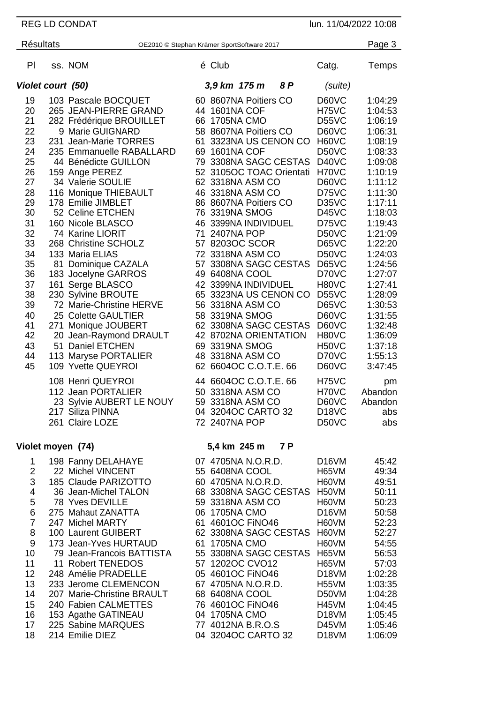REG LD CONDAT lun. 11/04/2022 10:08 Résultats **CE2010** © Stephan Krämer SportSoftware 2017 **Page 3** Pl ss. NOM  $\acute{e}$  Club  $\acute{e}$  Club Catg. Temps *Violet court (50) 3,9 km 175 m 8 P (suite)* 103 Pascale BOCQUET 60 8607NA Poitiers CO D60VC 1:04:29 265 JEAN-PIERRE GRAND 44 1601NA COF H75VC 1:04:53 282 Frédérique BROUILLET 66 1705NA CMO D55VC 1:06:19 9 Marie GUIGNARD 58 8607NA Poitiers CO D60VC 1:06:31 23 231 Jean-Marie TORRES 61 3323NA US CENON CO<br>24 235 Emmanuelle RABALLARD 69 1601NA COF 235 Emmanuelle RABALLARD 69 1601NA COF D50VC 1:08:33 44 Bénédicte GUILLON 79 3308NA SAGC CESTAS D40VC 1:09:08 159 Ange PEREZ 52 3105OC TOAC Orientati H70VC 1:10:19 62 3318NA ASM CO D60VC 1:11:12 116 Monique THIEBAULT 46 3318NA ASM CO D75VC 1:11:30 86 8607NA Poitiers CO D35VC 1:17:11 52 Celine ETCHEN 76 3319NA SMOG D45VC 1:18:03 160 Nicole BLASCO 46 3399NA INDIVIDUEL D75VC 1:19:43 32 74 Karine LIORIT<br>33 268 Christine SCH 268 Christine SCHOLZ 57 8203OC SCOR D65VC 1:22:20 133 Maria ELIAS 72 3318NA ASM CO D50VC 1:24:03 57 3308NA SAGC CESTAS D65VC 1:24:56 183 Jocelyne GARROS 49 6408NA COOL D70VC 1:27:07 37 161 Serge BLASCO 42 3399NA INDIVIDUEL H80VC 1:27:41<br>38 230 Sylvine BROUTE 65 3323NA US CENON CO D55VC 1:28:09 230 Sylvine BROUTE 65 3323NA US CENON CO D55VC 1:28:09 72 Marie-Christine HERVE 56 3318NA ASM CO D65VC 1:30:53 25 Colette GAULTIER 58 3319NA SMOG D60VC 1:31:55 41 271 Monique JOUBERT 62 3308NA SAGC CESTAS D60VC 1:32:48<br>42 20 Jean-Raymond DRAULT 42 8702NA ORIENTATION H80VC 1:36:09 20 Jean-Raymond DRAULT 42 8702NA ORIENTATION H80VC 1:36:09 51 Daniel ETCHEN 69 3319NA SMOG H50VC 1:37:18 113 Maryse PORTALIER 48 3318NA ASM CO D70VC 1:55:13 62 6604OC C.O.T.E. 66 D60VC 3:47:45 Henri QUEYROI 44 6604OC C.O.T.E. 66 H75VC pm 112 Jean PORTALIER 50 3318NA ASM CO H70VC Abandon<br>12 Sylvie AUBERT LE NOUY 59 3318NA ASM CO D60VC Abandon 23 Sylvie AUBERT LE NOUY<br>217 Siliza PINNA 04 3204OC CARTO 32 D18VC abs Claire LOZE 72 2407NA POP D50VC abs **Violet moyen (74) 5,4 km 245 m 7 P** 198 Fanny DELAHAYE 07 4705NA N.O.R.D. D16VM 45:42 2 22 Michel VINCENT<br>3 185 Claude PARIZO 185 Claude PARIZOTTO 60 4705NA N.O.R.D. H60VM 49:51 36 Jean-Michel TALON 68 3308NA SAGC CESTAS H50VM 50:11 78 Yves DEVILLE 59 3318NA ASM CO H60VM 50:23 275 Mahaut ZANATTA 06 1705NA CMO D16VM 50:58 247 Michel MARTY 61 4601OC FiNO46 H60VM 52:23 8 100 Laurent GUIBERT 62 3308NA SAGC CESTAS H60VM 52:27<br>9 173 Jean-Yves HURTAUD 61 1705NA CMO 60VM 54:55 9 173 Jean-Yves HURTAUD 61 1705NA CMO 61 160VM 54:55<br>10 79 Jean-Francois BATTISTA 55 3308NA SAGC CESTAS H65VM 56:53 79 Jean-Francois BATTISTA 55 3308NA SAGC CESTAS H65VM 56:53 11 Robert TENEDOS 57 1202OC CVO12 H65VM 57:03 248 Amélie PRADELLE 05 4601OC FiNO46 D18VM 1:02:28 233 Jerome CLEMENCON 67 4705NA N.O.R.D. H55VM 1:03:35 207 Marie-Christine BRAULT 68 6408NA COOL D50VM 1:04:28 240 Fabien CALMETTES 76 4601OC FiNO46 H45VM 1:04:45 153 Agathe GATINEAU 04 1705NA CMO D18VM 1:05:45 225 Sabine MARQUES 77 4012NA B.R.O.S D45VM 1:05:46 214 Emilie DIEZ 04 3204OC CARTO 32 D18VM 1:06:09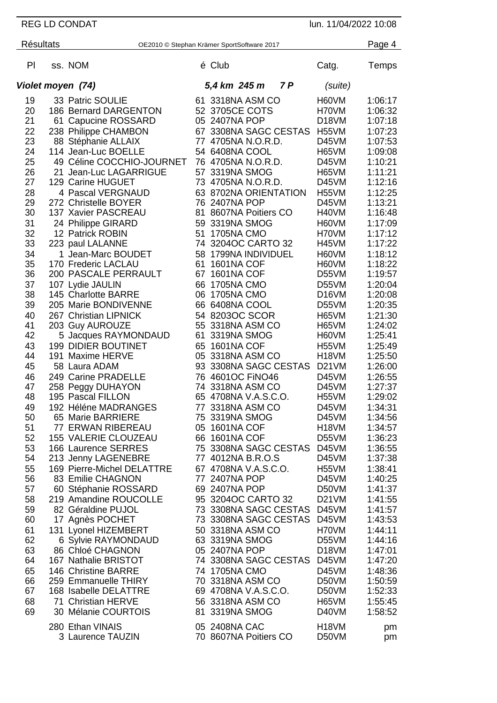REG LD CONDAT lun. 11/04/2022 10:08 Résultats **CE2010** © Stephan Krämer SportSoftware 2017 **Page 4** Pl ss. NOM  $\acute{e}$  Club  $\acute{e}$  Club Catg. Temps *Violet moyen (74) 5,4 km 245 m 7 P (suite)* 19 33 Patric SOULIE 61 3318NA ASM CO H60VM 1:06:17<br>20 186 Bernard DARGENTON 52 3705CE COTS H70VM 1:06:32 186 Bernard DARGENTON 52 3705CE COTS H70VM 1:06:32 61 Capucine ROSSARD 05 2407NA POP D18VM 1:07:18 238 Philippe CHAMBON 67 3308NA SAGC CESTAS H55VM 1:07:23 88 Stéphanie ALLAIX 77 4705NA N.O.R.D. D45VM 1:07:53 114 Jean-Luc BOELLE 54 6408NA COOL H65VM 1:09:08 49 Céline COCCHIO-JOURNET 76 4705NA N.O.R.D. D45VM 1:10:21 21 Jean-Luc LAGARRIGUE 57 3319NA SMOG H65VM 1:11:21 129 Carine HUGUET 73 4705NA N.O.R.D. D45VM 1:12:16 28 4 Pascal VERGNAUD 63 8702NA ORIENTATION H55VM 1:12:25<br>29 272 Christelle BOYER 76 2407NA POP D45VM 1:13:21 272 Christelle BOYER 76 2407NA POP D45VM 1:13:21 137 Xavier PASCREAU 81 8607NA Poitiers CO H40VM 1:16:48 24 Philippe GIRARD 59 3319NA SMOG H60VM 1:17:09 32 12 Patrick ROBIN<br>33 223 paul LALANNE 223 paul LALANNE 74 3204OC CARTO 32 H45VM 1:17:22 1 Jean-Marc BOUDET 58 1799NA INDIVIDUEL H60VM 1:18:12 170 Frederic LACLAU 61 1601NA COF H60VM 1:18:22 200 PASCALE PERRAULT 67 1601NA COF D55VM 1:19:57 107 Lydie JAULIN 66 1705NA CMO D55VM 1:20:04 145 Charlotte BARRE 06 1705NA CMO D16VM 1:20:08 205 Marie BONDIVENNE 66 6408NA COOL D55VM 1:20:35 267 Christian LIPNICK **54 8203OC SCOR** H65VM 1:21:30<br>203 Guy AUROUZE 55 3318NA ASM CO H65VM 1:24:02 203 Guy AUROUZE 55 3318NA ASM CO H65VM 1:24:02 5 Jacques RAYMONDAUD 61 3319NA SMOG H60VM 1:25:41 199 DIDIER BOUTINET 65 1601NA COF H55VM 1:25:49 191 Maxime HERVE 05 3318NA ASM CO H18VM 1:25:50 58 Laura ADAM 93 3308NA SAGC CESTAS D21VM 1:26:00 249 Carine PRADELLE 76 4601OC FiNO46 D45VM 1:26:55 258 Peggy DUHAYON 74 3318NA ASM CO D45VM 1:27:37 65 4708NA V.A.S.C.O.<br>77 3318NA ASM CO 192 Héléne MADRANGES 77 3318NA ASM CO D45VM 1:34:31 65 Marie BARRIERE 75 3319NA SMOG D45VM 1:34:56 77 ERWAN RIBEREAU 05 1601NA COF H18VM 1:34:57 155 VALERIE CLOUZEAU 66 1601NA COF D55VM 1:36:23 166 Laurence SERRES 75 3308NA SAGC CESTAS D45VM 1:36:55 213 Jenny LAGENEBRE 77 4012NA B.R.O.S D45VM 1:37:38 169 Pierre-Michel DELATTRE 67 4708NA V.A.S.C.O. H55VM 1:38:41 56 83 Emilie CHAGNON 77 2407NA POP D45VM<br>56 Stéphanie ROSSARD 69 2407NA POP D50VM 57 60 Stéphanie ROSSARD 69 2407NA POP D50VM 1:41:37 219 Amandine ROUCOLLE 95 3204OC CARTO 32 D21VM 1:41:55 82 Géraldine PUJOL 73 3308NA SAGC CESTAS D45VM 1:41:57 17 Agnès POCHET 73 3308NA SAGC CESTAS D45VM 1:43:53 131 Lyonel HIZEMBERT 50 3318NA ASM CO H70VM 1:44:11 6 Sylvie RAYMONDAUD 63 3319NA SMOG D55VM 1:44:16 86 Chloé CHAGNON 05 2407NA POP D18VM 1:47:01 167 Nathalie BRISTOT 74 3308NA SAGC CESTAS D45VM 1:47:20 146 Christine BARRE 74 1705NA CMO D45VM 1:48:36 259 Emmanuelle THIRY 70 3318NA ASM CO D50VM 1:50:59 69 4708NA V.A.S.C.O. D50VM 1:52:33 71 Christian HERVE 56 3318NA ASM CO H65VM 1:55:45 30 Mélanie COURTOIS 81 3319NA SMOG D40VM 1:58:52 Ethan VINAIS 05 2408NA CAC H18VM pm Laurence TAUZIN 70 8607NA Poitiers CO D50VM pm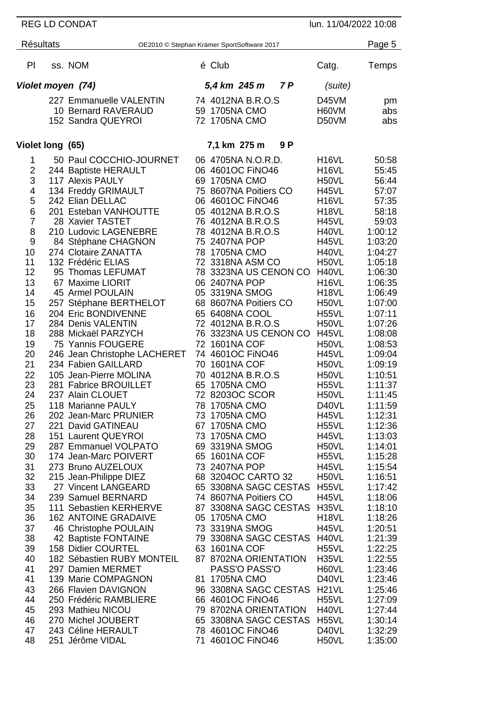REG LD CONDAT lun. 11/04/2022 10:08

| <b>Résultats</b>                                                                                                                                                                                                              |  | OE2010 © Stephan Krämer SportSoftware 2017                                                                                                                                                                                                                                                                                                                                                                                                                                                                                                                                                                                                                                                                                                                                                                                                                                                                                                                                      |  |                                                                                                                                                                                                                                                                                                                                                                                                                                                                                                                                                                                                                                                                                                                                                                                                                                               |                                                                                                                                                                                                                                                                                                                                                                                                                                                                                                                                                          |                                                                                                                                                                                                                                                                                                                                                                                                                             |  |
|-------------------------------------------------------------------------------------------------------------------------------------------------------------------------------------------------------------------------------|--|---------------------------------------------------------------------------------------------------------------------------------------------------------------------------------------------------------------------------------------------------------------------------------------------------------------------------------------------------------------------------------------------------------------------------------------------------------------------------------------------------------------------------------------------------------------------------------------------------------------------------------------------------------------------------------------------------------------------------------------------------------------------------------------------------------------------------------------------------------------------------------------------------------------------------------------------------------------------------------|--|-----------------------------------------------------------------------------------------------------------------------------------------------------------------------------------------------------------------------------------------------------------------------------------------------------------------------------------------------------------------------------------------------------------------------------------------------------------------------------------------------------------------------------------------------------------------------------------------------------------------------------------------------------------------------------------------------------------------------------------------------------------------------------------------------------------------------------------------------|----------------------------------------------------------------------------------------------------------------------------------------------------------------------------------------------------------------------------------------------------------------------------------------------------------------------------------------------------------------------------------------------------------------------------------------------------------------------------------------------------------------------------------------------------------|-----------------------------------------------------------------------------------------------------------------------------------------------------------------------------------------------------------------------------------------------------------------------------------------------------------------------------------------------------------------------------------------------------------------------------|--|
| PI                                                                                                                                                                                                                            |  | ss. NOM                                                                                                                                                                                                                                                                                                                                                                                                                                                                                                                                                                                                                                                                                                                                                                                                                                                                                                                                                                         |  | é Club                                                                                                                                                                                                                                                                                                                                                                                                                                                                                                                                                                                                                                                                                                                                                                                                                                        | Catg.                                                                                                                                                                                                                                                                                                                                                                                                                                                                                                                                                    | Temps                                                                                                                                                                                                                                                                                                                                                                                                                       |  |
| Violet moyen (74)                                                                                                                                                                                                             |  |                                                                                                                                                                                                                                                                                                                                                                                                                                                                                                                                                                                                                                                                                                                                                                                                                                                                                                                                                                                 |  | 7P<br>5,4 km 245 m                                                                                                                                                                                                                                                                                                                                                                                                                                                                                                                                                                                                                                                                                                                                                                                                                            | (suite)                                                                                                                                                                                                                                                                                                                                                                                                                                                                                                                                                  |                                                                                                                                                                                                                                                                                                                                                                                                                             |  |
|                                                                                                                                                                                                                               |  | 227 Emmanuelle VALENTIN<br>10 Bernard RAVERAUD<br>152 Sandra QUEYROI                                                                                                                                                                                                                                                                                                                                                                                                                                                                                                                                                                                                                                                                                                                                                                                                                                                                                                            |  | 74 4012NA B.R.O.S<br>59 1705NA CMO<br>72 1705NA CMO                                                                                                                                                                                                                                                                                                                                                                                                                                                                                                                                                                                                                                                                                                                                                                                           | D45VM<br>H60VM<br>D50VM                                                                                                                                                                                                                                                                                                                                                                                                                                                                                                                                  | pm<br>abs<br>abs                                                                                                                                                                                                                                                                                                                                                                                                            |  |
| Violet long (65)                                                                                                                                                                                                              |  |                                                                                                                                                                                                                                                                                                                                                                                                                                                                                                                                                                                                                                                                                                                                                                                                                                                                                                                                                                                 |  | 7,1 km 275 m<br>9 P                                                                                                                                                                                                                                                                                                                                                                                                                                                                                                                                                                                                                                                                                                                                                                                                                           |                                                                                                                                                                                                                                                                                                                                                                                                                                                                                                                                                          |                                                                                                                                                                                                                                                                                                                                                                                                                             |  |
| 1<br>2<br>3<br>4<br>5<br>6<br>7<br>8<br>9<br>10<br>11<br>12<br>13<br>14<br>15<br>16<br>17<br>18<br>19<br>20<br>21<br>22<br>23<br>24<br>25<br>26<br>27<br>28<br>29<br>30<br>31<br>32<br>33<br>34<br>35<br>36<br>37<br>38<br>39 |  | 50 Paul COCCHIO-JOURNET<br>244 Baptiste HERAULT<br>117 Alexis PAULY<br>134 Freddy GRIMAULT<br>242 Elian DELLAC<br>201 Esteban VANHOUTTE<br>28 Xavier TASTET<br>210 Ludovic LAGENEBRE<br>84 Stéphane CHAGNON<br>274 Clotaire ZANATTA<br>132 Frédéric ELIAS<br>95 Thomas LEFUMAT<br>67 Maxime LIORIT<br>45 Armel POULAIN<br>257 Stéphane BERTHELOT<br>204 Eric BONDIVENNE<br>284 Denis VALENTIN<br>288 Mickaël PARZYCH<br>75 Yannis FOUGERE<br>246 Jean Christophe LACHERET<br>234 Fabien GAILLARD<br>105 Jean-Pierre MOLINA<br>281 Fabrice BROUILLET<br>237 Alain CLOUET<br>118 Marianne PAULY<br>202 Jean-Marc PRUNIER<br>221 David GATINEAU<br>151 Laurent QUEYROI<br>287 Emmanuel VOLPATO<br>174 Jean-Marc POIVERT<br>273 Bruno AUZELOUX<br>215 Jean-Philippe DIEZ<br>27 Vincent LANGEARD<br>239 Samuel BERNARD<br>111 Sebastien KERHERVE<br><b>162 ANTOINE GRADAIVE</b><br>46 Christophe POULAIN<br>42 Baptiste FONTAINE<br>158 Didier COURTEL<br>182 Sébastien RUBY MONTEIL |  | 06 4705NA N.O.R.D.<br>06 4601OC FINO46<br>69 1705NA CMO<br>75 8607NA Poitiers CO<br>06 4601OC FiNO46<br>05 4012NA B.R.O.S<br>76 4012NA B.R.O.S<br>78 4012NA B.R.O.S<br>75 2407NA POP<br>78 1705NA CMO<br>72 3318NA ASM CO<br>78 3323NA US CENON CO<br>06 2407NA POP<br>05 3319NA SMOG<br>68 8607NA Poitiers CO<br>65 6408NA COOL<br>72 4012NA B.R.O.S<br>76 3323NA US CENON CO<br>72 1601NA COF<br>74 4601OC FINO46<br>70 1601NA COF<br>70 4012NA B.R.O.S<br>65 1705NA CMO<br>72 8203OC SCOR<br>78 1705NA CMO<br>73 1705NA CMO<br>67 1705NA CMO<br>73 1705NA CMO<br>69 3319NA SMOG<br>65 1601NA COF<br>73 2407NA POP<br>68 3204OC CARTO 32<br>65 3308NA SAGC CESTAS H55VL<br>74 8607NA Poitiers CO<br>87 3308NA SAGC CESTAS H35VL<br>05 1705NA CMO<br>73 3319NA SMOG<br>79 3308NA SAGC CESTAS H40VL<br>63 1601NA COF<br>87 8702NA ORIENTATION | H <sub>16</sub> VL<br>H <sub>16</sub> VL<br>H50VL<br><b>H45VL</b><br>H <sub>16</sub> VL<br>H <sub>18</sub> VL<br>H45VL<br>H40VL<br>H45VL<br>H40VL<br>H50VL<br>H40VL<br>H <sub>16</sub> VL<br>H <sub>18</sub> VL<br>H <sub>50</sub> VL<br>H <sub>55</sub> VL<br>H50VL<br><b>H45VL</b><br>H50VL<br><b>H45VL</b><br>H <sub>50</sub> VL<br>H50VL<br>H <sub>55</sub> VL<br>H50VL<br>D <sub>40</sub> VL<br>H45VL<br>H <sub>55</sub> VL<br>H45VL<br>H50VL<br>H <sub>55</sub> VL<br>H45VL<br>H50VL<br>H45VL<br>H <sub>18</sub> VL<br>H45VL<br>H <sub>55</sub> VL | 50:58<br>55:45<br>56:44<br>57:07<br>57:35<br>58:18<br>59:03<br>1:00:12<br>1:03:20<br>1:04:27<br>1:05:18<br>1:06:30<br>1:06:35<br>1:06:49<br>1:07:00<br>1:07:11<br>1:07:26<br>1:08:08<br>1:08:53<br>1:09:04<br>1:09:19<br>1:10:51<br>1:11:37<br>1:11:45<br>1:11:59<br>1:12:31<br>1:12:36<br>1:13:03<br>1:14:01<br>1:15:28<br>1:15:54<br>1:16:51<br>1:17:42<br>1:18:06<br>1:18:10<br>1:18:26<br>1:20:51<br>1:21:39<br>1:22:25 |  |
| 40<br>41<br>41<br>43<br>44<br>45                                                                                                                                                                                              |  | 297 Damien MERMET<br>139 Marie COMPAGNON<br>266 Flavien DAVIGNON<br>250 Frédéric RAMBLIERE<br>293 Mathieu NICOU                                                                                                                                                                                                                                                                                                                                                                                                                                                                                                                                                                                                                                                                                                                                                                                                                                                                 |  | PASS'O PASS'O<br>81 1705NA CMO<br>96 3308NA SAGC CESTAS H21VL<br>66 4601OC FINO46<br>79 8702NA ORIENTATION                                                                                                                                                                                                                                                                                                                                                                                                                                                                                                                                                                                                                                                                                                                                    | H35VL<br>H60VL<br>D40VL<br>H55VL<br>H40VL                                                                                                                                                                                                                                                                                                                                                                                                                                                                                                                | 1:22:55<br>1:23:46<br>1:23:46<br>1:25:46<br>1:27:09<br>1:27:44                                                                                                                                                                                                                                                                                                                                                              |  |
| 46<br>47<br>48                                                                                                                                                                                                                |  | 270 Michel JOUBERT<br>243 Céline HERAULT<br>251 Jérôme VIDAL                                                                                                                                                                                                                                                                                                                                                                                                                                                                                                                                                                                                                                                                                                                                                                                                                                                                                                                    |  | 65 3308NA SAGC CESTAS H55VL<br>78 4601OC FINO46<br>71 4601OC FINO46                                                                                                                                                                                                                                                                                                                                                                                                                                                                                                                                                                                                                                                                                                                                                                           | D40VL<br>H <sub>50</sub> VL                                                                                                                                                                                                                                                                                                                                                                                                                                                                                                                              | 1:30:14<br>1:32:29<br>1:35:00                                                                                                                                                                                                                                                                                                                                                                                               |  |